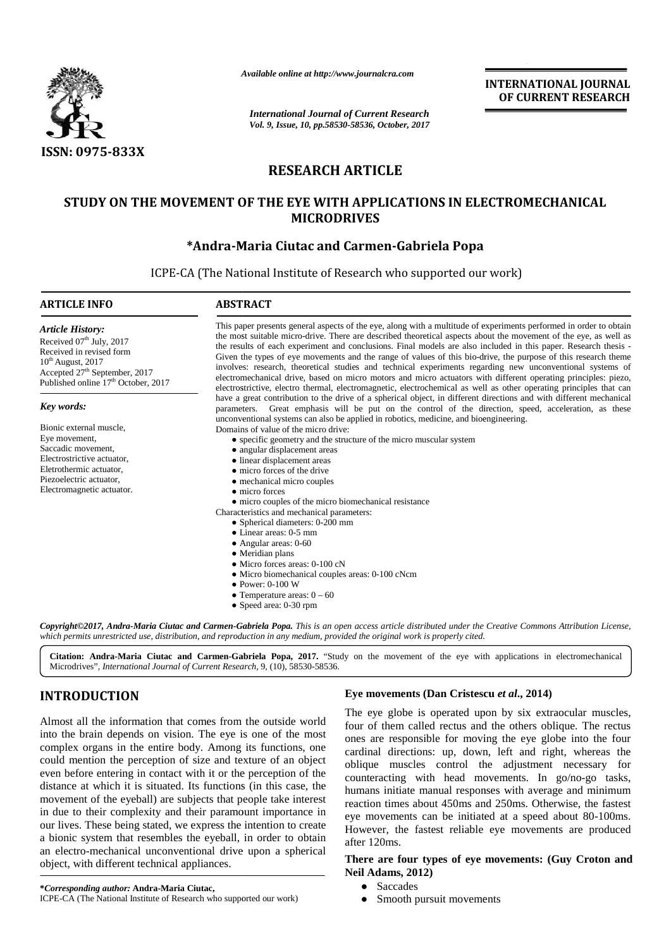

*Available online at http://www.journalcra.com*

# **RESEARCH ARTICLE**

# **STUDY ON THE MOVEMENT OF THE EYE WITH APPLICATIONS IN ELECTROMECHANICAL MICRODRIVES**

# **\*Andra-Maria Ciutac and Carmen-Gabriela Popa \*Andra-Maria Ciutac**

| <b>ISSN: 0975-833X</b>                                                                                                                                                                                                                                                                                                                                                                                            | <b>International Journal of Current Research</b><br>Vol. 9, Issue, 10, pp.58530-58536, October, 2017<br><b>RESEARCH ARTICLE</b><br>STUDY ON THE MOVEMENT OF THE EYE WITH APPLICATIONS IN ELECTROMECHANICAL                                                                                                                                                                                                                                                                                                                                                                                                                                                                                                                                                                                                                                                                                                                                                                                                                                                                                                                                                                                                                                                                                                                                                                                                                                                                                                                                                                                                                                                                                                                                                                 | <b>INTERNATIONAL JOURNAL</b><br>OF CURRENT RESEARCH |
|-------------------------------------------------------------------------------------------------------------------------------------------------------------------------------------------------------------------------------------------------------------------------------------------------------------------------------------------------------------------------------------------------------------------|----------------------------------------------------------------------------------------------------------------------------------------------------------------------------------------------------------------------------------------------------------------------------------------------------------------------------------------------------------------------------------------------------------------------------------------------------------------------------------------------------------------------------------------------------------------------------------------------------------------------------------------------------------------------------------------------------------------------------------------------------------------------------------------------------------------------------------------------------------------------------------------------------------------------------------------------------------------------------------------------------------------------------------------------------------------------------------------------------------------------------------------------------------------------------------------------------------------------------------------------------------------------------------------------------------------------------------------------------------------------------------------------------------------------------------------------------------------------------------------------------------------------------------------------------------------------------------------------------------------------------------------------------------------------------------------------------------------------------------------------------------------------------|-----------------------------------------------------|
|                                                                                                                                                                                                                                                                                                                                                                                                                   | <b>MICRODRIVES</b>                                                                                                                                                                                                                                                                                                                                                                                                                                                                                                                                                                                                                                                                                                                                                                                                                                                                                                                                                                                                                                                                                                                                                                                                                                                                                                                                                                                                                                                                                                                                                                                                                                                                                                                                                         |                                                     |
|                                                                                                                                                                                                                                                                                                                                                                                                                   | *Andra-Maria Ciutac and Carmen-Gabriela Popa                                                                                                                                                                                                                                                                                                                                                                                                                                                                                                                                                                                                                                                                                                                                                                                                                                                                                                                                                                                                                                                                                                                                                                                                                                                                                                                                                                                                                                                                                                                                                                                                                                                                                                                               |                                                     |
|                                                                                                                                                                                                                                                                                                                                                                                                                   | ICPE-CA (The National Institute of Research who supported our work)                                                                                                                                                                                                                                                                                                                                                                                                                                                                                                                                                                                                                                                                                                                                                                                                                                                                                                                                                                                                                                                                                                                                                                                                                                                                                                                                                                                                                                                                                                                                                                                                                                                                                                        |                                                     |
| <b>ARTICLE INFO</b>                                                                                                                                                                                                                                                                                                                                                                                               | <b>ABSTRACT</b>                                                                                                                                                                                                                                                                                                                                                                                                                                                                                                                                                                                                                                                                                                                                                                                                                                                                                                                                                                                                                                                                                                                                                                                                                                                                                                                                                                                                                                                                                                                                                                                                                                                                                                                                                            |                                                     |
| <b>Article History:</b><br>Received 07th July, 2017<br>Received in revised form<br>10 <sup>th</sup> August, 2017<br>Accepted 27 <sup>th</sup> September, 2017<br>Published online 17 <sup>th</sup> October, 2017<br>Key words:<br>Bionic external muscle,<br>Eye movement,<br>Saccadic movement,<br>Electrostrictive actuator,<br>Eletrothermic actuator,<br>Piezoelectric actuator,<br>Electromagnetic actuator. | This paper presents general aspects of the eye, along with a multitude of experiments performed in order to obtain<br>the most suitable micro-drive. There are described theoretical aspects about the movement of the eye, as well as<br>the results of each experiment and conclusions. Final models are also included in this paper. Research thesis -<br>Given the types of eye movements and the range of values of this bio-drive, the purpose of this research theme<br>involves: research, theoretical studies and technical experiments regarding new unconventional systems of<br>electromechanical drive, based on micro motors and micro actuators with different operating principles: piezo,<br>electrostrictive, electro thermal, electromagnetic, electrochemical as well as other operating principles that can<br>have a great contribution to the drive of a spherical object, in different directions and with different mechanical<br>parameters. Great emphasis will be put on the control of the direction, speed, acceleration, as these<br>unconventional systems can also be applied in robotics, medicine, and bioengineering.<br>Domains of value of the micro drive:<br>specific geometry and the structure of the micro muscular system<br>angular displacement areas<br>linear displacement areas<br>micro forces of the drive<br>mechanical micro couples<br>micro forces<br>micro couples of the micro biomechanical resistance<br>Characteristics and mechanical parameters:<br>Spherical diameters: 0-200 mm<br>Linear areas: 0-5 mm<br>Angular areas: 0-60<br>Meridian plans<br>Micro forces areas: 0-100 cN<br>Micro biomechanical couples areas: 0-100 cNcm<br>Power: 0-100 W<br>Temperature areas: $0 - 60$<br>Speed area: 0-30 rpm |                                                     |

# **INTRODUCTION INTRODUCTION**

Almost all the information that comes from the outside world into the brain depends on vision. The eye is one of the most Almost all the information that comes from the outside world<br>into the brain depends on vision. The eye is one of the most<br>complex organs in the entire body. Among its functions, one could mention the perception of size and texture of an object  $\overline{c}$ even before entering in contact with it or the perception of the distance at which it is situated. Its functions (in this case, the  $\frac{1}{h_{\text{min}}}$ movement of the eyeball) are subjects that people take interest in due to their complexity and their paramount importance in  $\frac{1}{\sqrt{N}}$ our lives. These being stated, we express the intention to create  $\frac{1}{10}$ a bionic system that resembles the eyeball, in order to obtain an electro-mechanical unconventional drive upon a spherical object, with different technical appliances. even before entering in contact with it or the perception of the distance at which it is situated. Its functions (in this case, the movement of the eyeball) are subjects that people take interest in due to their complexity and their paramount importance in<br>our lives. These being stated, we express the intention to create<br>a bionic system that resembles the eyeball, in order to obtain<br>an electro-mechanical unconvent ICPE-CA Institute of Research who our work)*et* of up, left with go/no-go humans times 250ms. can the reliable **movements:and Example 12** and **Carrier Cabriela Popa, 2017.** "Study on the tives", *International Journal of Current Research*, 9, (10), 58530-58536.<br> **DDUCTION**<br> **Eye mo**<br> **DDUCTION**<br> **Eye mo**<br> **DDUCTION**<br> **Eye mo**<br> **DDUCTION**<br> **Eye** 

#### **\****Corresponding author:* **Andra-Maria Ciutac, \****Corresponding* ICPE-CA (The National Institute of Research who supported our work)

# **Eye movements (Dan Cristescu** *et al***., 2014)**

The eye globe is operated upon by six extraocular muscles, four of them called rectus and the others oblique. The rectus ones are responsible for moving the eye globe into the four cardinal directions: up, down, left and right, whereas the oblique muscles control the adjustment necessary for counteracting with head movements. In go/no-go tasks, humans initiate manual responses with average and minimum reaction times about 450ms and 250ms. Otherwise, the fastest eye movements can be initiated at a speed about 80-100ms. However, the fastest reliable eye movements are produced after 120ms.

# **There are four types of eye movements: (Guy Croton and Neil Adams, 2012)**

Saccades Smooth pursuit movements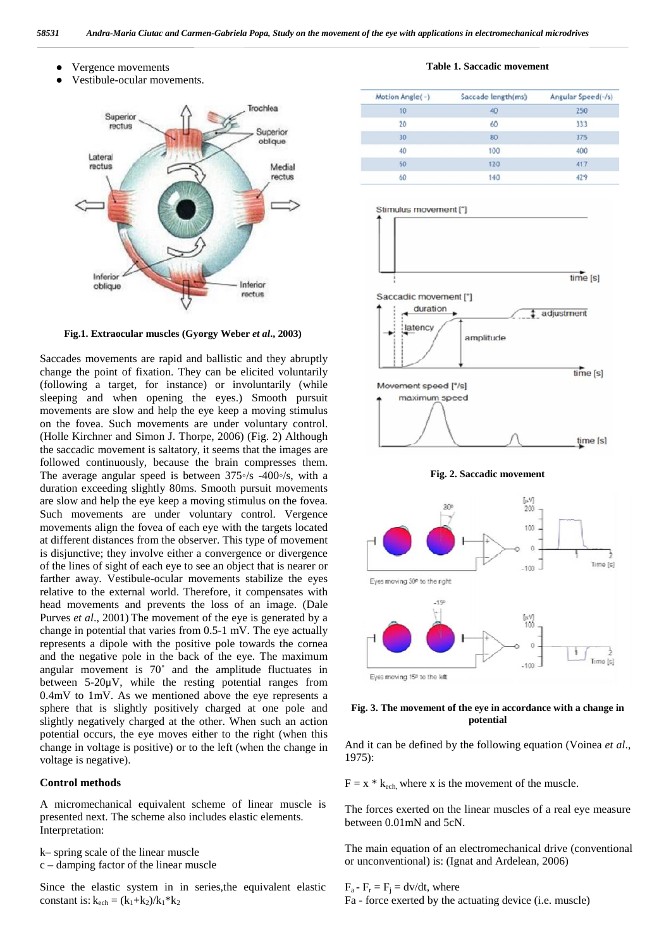

Vergence movements Vestibule-ocular movements.

**Fig.1. Extraocular muscles (Gyorgy Weber** *et al***., 2003)**

Saccades movements are rapid and ballistic and they abruptly change the point of fixation. They can be elicited voluntarily (following a target, for instance) or involuntarily (while sleeping and when opening the eyes.) Smooth pursuit movements are slow and help the eye keep a moving stimulus on the fovea. Such movements are under voluntary control. (Holle Kirchner and Simon J. Thorpe, 2006) (Fig. 2) Although the saccadic movement is saltatory, it seems that the images are followed continuously, because the brain compresses them. The average angular speed is between 375 /s -400 /s, with a duration exceeding slightly 80ms. Smooth pursuit movements are slow and help the eye keep a moving stimulus on the fovea. Such movements are under voluntary control. Vergence movements align the fovea of each eye with the targets located at different distances from the observer. This type of movement is disjunctive; they involve either a convergence or divergence of the lines of sight of each eye to see an object that is nearer or farther away. Vestibule-ocular movements stabilize the eyes relative to the external world. Therefore, it compensates with head movements and prevents the loss of an image. (Dale Purves *et al*., 2001) The movement of the eye is generated by a change in potential that varies from 0.5-1 mV. The eye actually represents a dipole with the positive pole towards the cornea and the negative pole in the back of the eye. The maximum angular movement is  $70^{\circ}$  and the amplitude fluctuates in between  $5-20\mu V$ , while the resting potential ranges from 0.4mV to 1mV. As we mentioned above the eye represents a sphere that is slightly positively charged at one pole and slightly negatively charged at the other. When such an action potential occurs, the eye moves either to the right (when this change in voltage is positive) or to the left (when the change in voltage is negative).

#### **Control methods**

A micromechanical equivalent scheme of linear muscle is presented next. The scheme also includes elastic elements. Interpretation:

k– spring scale of the linear muscle

c – damping factor of the linear muscle

Since the elastic system in in series,the equivalent elastic constant is:  $k_{ech} = (k_1+k_2)/k_1*k_2$ 

#### **Table 1. Saccadic movement**

| Motion Angle(-) | Saccade length(ms) | Angular Speed(-/s) |
|-----------------|--------------------|--------------------|
| 10              | 40                 | 250                |
| 20              | 60                 | 333                |
| 30              | 80                 | 375                |
| 40              | 100                | 400                |
| 50              | 120                | 417                |
| 60              | 140                |                    |



**Fig. 2. Saccadic movement**



## **Fig. 3. The movement of the eye in accordance with a change in potential**

And it can be defined by the following equation (Voinea *et al*., 1975):

 $F = x * k_{ech}$ , where x is the movement of the muscle.

The forces exerted on the linear muscles of a real eye measure between 0.01mN and 5cN.

The main equation of an electromechanical drive (conventional or unconventional) is: (Ignat and Ardelean, 2006)

## $F_a - F_r = F_i = dv/dt$ , where

Fa - force exerted by the actuating device (i.e. muscle)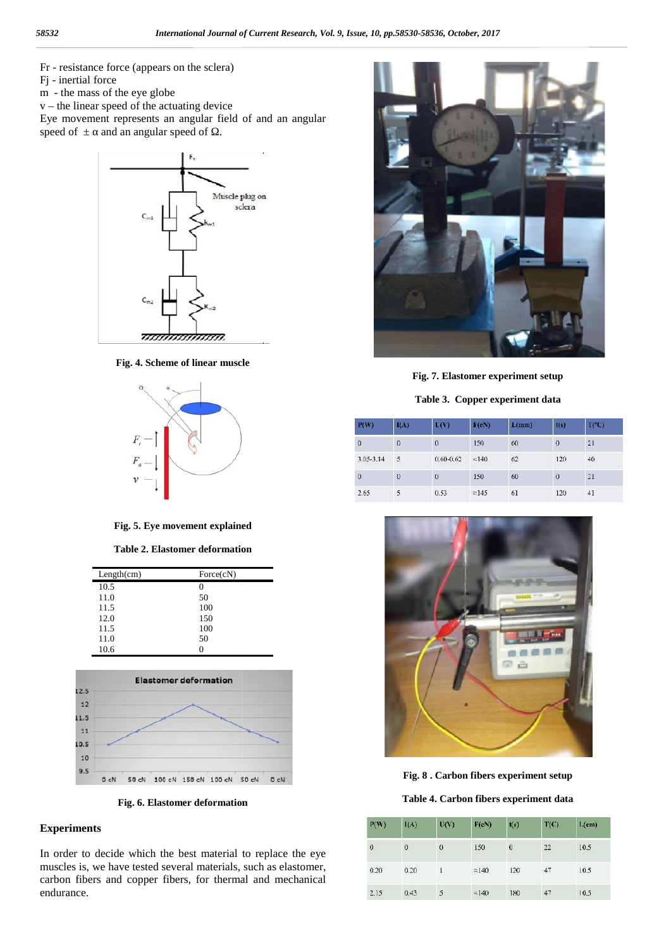- Fr resistance force (appears on the sclera)
- Fj inertial force
- m the mass of the eye globe
- $v$  the linear speed of the actuating device

Fr - resistance force (appears on the sclera)<br>Fj - inertial force<br>m - the mass of the eye globe<br>v – the linear speed of the actuating device<br>Eye movement represents an angular field of and an angular speed of  $\pm$  and an angular speed of  $\cdot$ .



**Fig. 4. Scheme of linear muscle**



**Fig. 5. Eye movement explained**

**Table 2. Elastomer deformation deformation**

| Length(cm) | Force(cN) |
|------------|-----------|
| 10.5       |           |
| 11.0       | 50        |
| 11.5       | 100       |
| 12.0       | 150       |
| 11.5       | 100       |
| 11.0       | 50        |
| 10.6       |           |



**Fig. 6. Elastomer deformation 6.**

# **Experiments Experiments**

In order to decide which the best material to replace the eye muscles is, we have tested several materials, such as elastomer, In order to decide which the best material to replace the eye muscles is, we have tested several materials, such as elastomer, carbon fibers and copper fibers, for thermal and mechanical endurance.



**Fig. 7. Elastomer experiment setup**

**Table 3. Copper experiment data**

| P(W)         | $I(\Lambda)$ | L(V)          | F(cN)         | L(mm) | t(s)     | T(C) |
|--------------|--------------|---------------|---------------|-------|----------|------|
| $\bf{0}$     | 0            | $\theta$      | 150           | 60    | $\Omega$ | 21   |
| 3.05-3.14    | 5            | $0.60 - 0.62$ | $\approx$ 140 | 62    | 120      | 40   |
| $\mathbf{0}$ | <sup>0</sup> | $\theta$      | 150           | 60    | 0        | 21   |
| 2.65         | 5            | 0.53          | $\approx$ 145 | 61    | 120      | 41   |





**Table 4. Carbon fibers experiment data**

| P(W)      | I(A)     | U(V)     | F(cN)         | t(s)         | T(C) | $L$ (cm) |
|-----------|----------|----------|---------------|--------------|------|----------|
| $\pmb{0}$ | $\bf{0}$ | $\theta$ | 150           | $\mathbf{0}$ | 22   | 10.5     |
| 0.20      | 0.20     |          | $\approx$ 140 | 120          | 47   | 10.5     |
| 2.15      | 0.43     | 5        | $\approx$ 140 | 180          | 47   | 10.5     |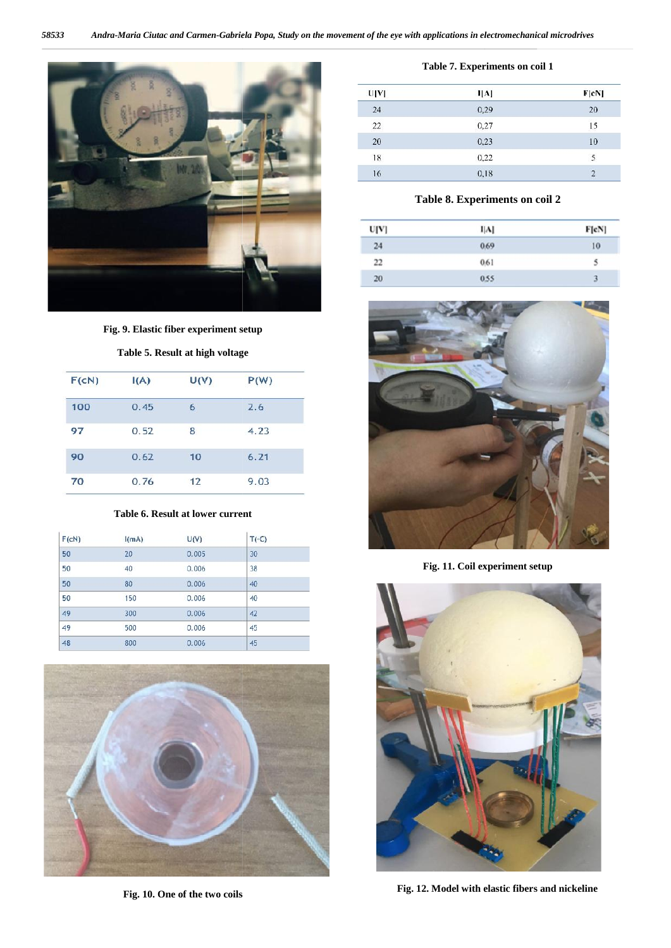

**Fig. 9. Elastic fiber experiment setup**

## **Table 5. Result at high voltage voltage**

| F(cN) | I(A) | U(V) | P(W) |
|-------|------|------|------|
| 100   | 0.45 | 6    | 2.6  |
| 97    | 0.52 | 8    | 4.23 |
| 90    | 0.62 | 10   | 6.21 |
| 70    | 0.76 | 12   | 9.03 |

#### **Table 6. Result at lower current current**

| F(cN)           | I(mA) | U(V)  | T(°C) |
|-----------------|-------|-------|-------|
| 50              | 20    | 0.005 | 30    |
| 50              | 40    | 0.006 | 38    |
| 50              | 80    | 0.006 | 40    |
| 50              | 150   | 0.006 | 40    |
| 49              | 300   | 0.006 | 42    |
| $\overline{49}$ | 500   | 0.006 | 45    |
| 48              | 800   | 0.006 | 45    |



**Fig. 10. One of the two coils**

| U[V]            | I[A] | F[cN] |
|-----------------|------|-------|
| 24              | 0,29 | 20    |
| $\overline{22}$ | 0,27 | 15    |
| 20              | 0,23 | 10    |
| 18              | 0,22 |       |
| 16              | 0,18 |       |

# **Table 8. Experiments on coil 2**

| U[V] | A    | F[cN] |
|------|------|-------|
| 24   | 0.69 | 10    |
| 22   | 0.61 | 5     |
| 20   | 0.55 | 3     |



**Fig. 11. Coil experiment setup**



**Fig. 12. Model with elastic fibers and nickeline**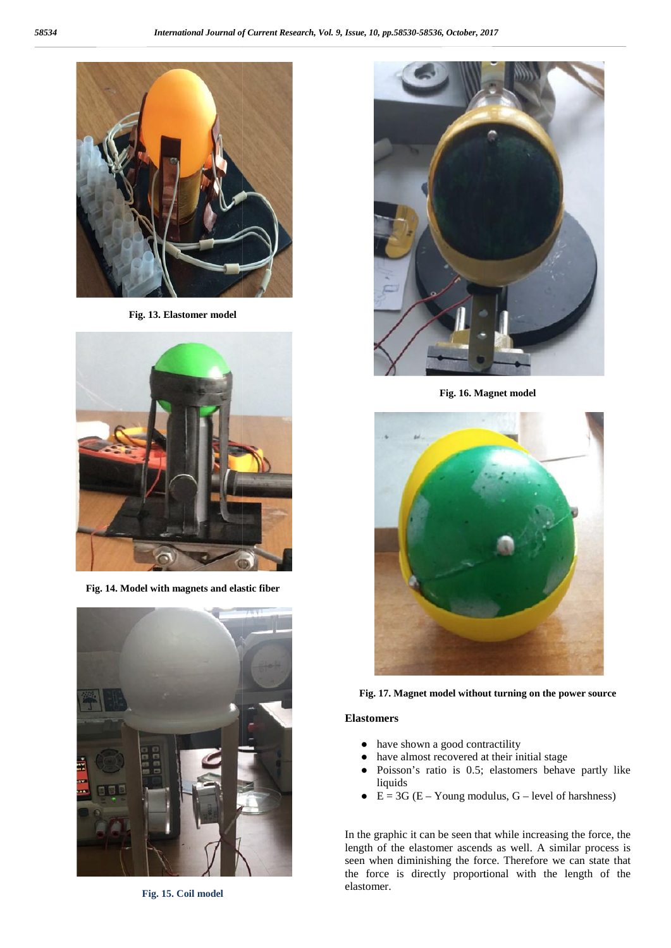

**Fig. 13. Elastomer model**



**Fig. 14. Model with magnets and elastic fiber**



**Fig. 15. Coil model**



**Fig. 16. Magnet model**



**Fig. 17. Magnet model without turning on the power source the** 

## **Elastomers**

have shown a good contractility have almost recovered at their initial stage Poisson's ratio is 0.5; elastomers behave partly like liquids  $E = 3G (E - Young modulus, G - level of harshness)$ 

In the graphic it can be seen that while increasing the force, the length of the elastomer ascends as well. A similar process is seen when diminishing the force. Therefore we can state that the force is directly proportional with the length of the elastomer.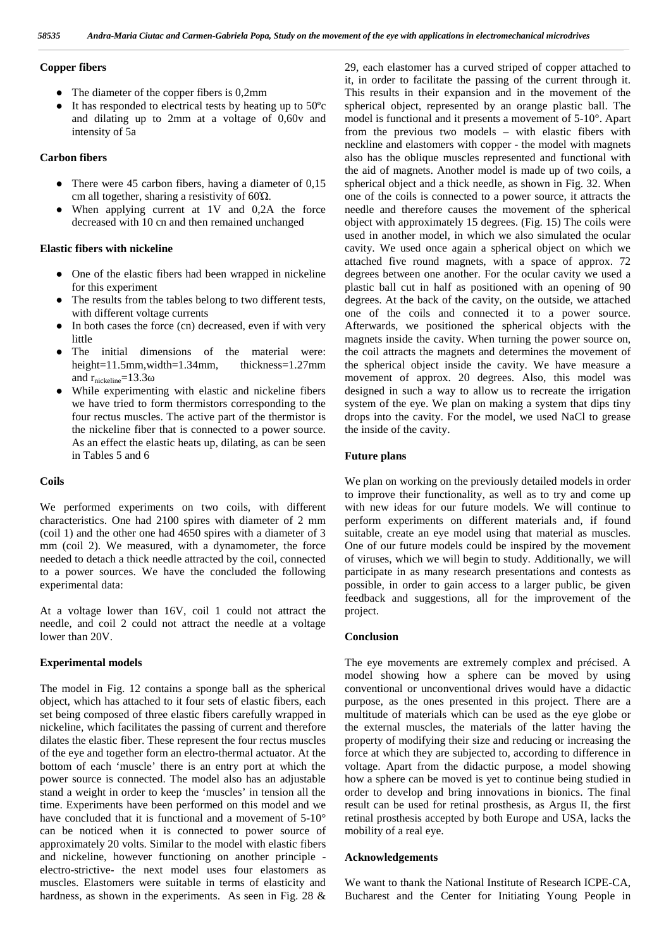## **Copper fibers**

The diameter of the copper fibers is 0,2mm

It has responded to electrical tests by heating up to 50ºc and dilating up to 2mm at a voltage of 0,60v and intensity of 5a

## **Carbon fibers**

There were 45 carbon fibers, having a diameter of 0,15 cm all together, sharing a resistivity of  $60\Omega$ .

When applying current at 1V and 0,2A the force decreased with 10 cn and then remained unchanged

## **Elastic fibers with nickeline**

One of the elastic fibers had been wrapped in nickeline for this experiment

The results from the tables belong to two different tests, with different voltage currents

In both cases the force (cn) decreased, even if with very little

The initial dimensions of the material were: height=11.5mm,width=1.34mm, thickness=1.27mm and  $r_{\text{nickeline}} = 13.3$ 

While experimenting with elastic and nickeline fibers we have tried to form thermistors corresponding to the four rectus muscles. The active part of the thermistor is the nickeline fiber that is connected to a power source. As an effect the elastic heats up, dilating, as can be seen in Tables 5 and 6

#### **Coils**

We performed experiments on two coils, with different characteristics. One had 2100 spires with diameter of 2 mm (coil 1) and the other one had 4650 spires with a diameter of 3 mm (coil 2). We measured, with a dynamometer, the force needed to detach a thick needle attracted by the coil, connected to a power sources. We have the concluded the following experimental data:

At a voltage lower than 16V, coil 1 could not attract the needle, and coil 2 could not attract the needle at a voltage lower than 20V.

#### **Experimental models**

The model in Fig. 12 contains a sponge ball as the spherical object, which has attached to it four sets of elastic fibers, each set being composed of three elastic fibers carefully wrapped in nickeline, which facilitates the passing of current and therefore dilates the elastic fiber. These represent the four rectus muscles of the eye and together form an electro-thermal actuator. At the bottom of each 'muscle' there is an entry port at which the power source is connected. The model also has an adjustable stand a weight in order to keep the 'muscles' in tension all the time. Experiments have been performed on this model and we have concluded that it is functional and a movement of 5-10° can be noticed when it is connected to power source of approximately 20 volts. Similar to the model with elastic fibers and nickeline, however functioning on another principle electro-strictive- the next model uses four elastomers as muscles. Elastomers were suitable in terms of elasticity and hardness, as shown in the experiments. As seen in Fig. 28 &

29, each elastomer has a curved striped of copper attached to it, in order to facilitate the passing of the current through it. This results in their expansion and in the movement of the spherical object, represented by an orange plastic ball. The model is functional and it presents a movement of 5-10°. Apart from the previous two models – with elastic fibers with neckline and elastomers with copper - the model with magnets also has the oblique muscles represented and functional with the aid of magnets. Another model is made up of two coils, a spherical object and a thick needle, as shown in Fig. 32. When one of the coils is connected to a power source, it attracts the needle and therefore causes the movement of the spherical object with approximately 15 degrees. (Fig. 15) The coils were used in another model, in which we also simulated the ocular cavity. We used once again a spherical object on which we attached five round magnets, with a space of approx. 72 degrees between one another. For the ocular cavity we used a plastic ball cut in half as positioned with an opening of 90 degrees. At the back of the cavity, on the outside, we attached one of the coils and connected it to a power source. Afterwards, we positioned the spherical objects with the magnets inside the cavity. When turning the power source on, the coil attracts the magnets and determines the movement of the spherical object inside the cavity. We have measure a movement of approx. 20 degrees. Also, this model was designed in such a way to allow us to recreate the irrigation system of the eye. We plan on making a system that dips tiny drops into the cavity. For the model, we used NaCl to grease the inside of the cavity.

### **Future plans**

We plan on working on the previously detailed models in order to improve their functionality, as well as to try and come up with new ideas for our future models. We will continue to perform experiments on different materials and, if found suitable, create an eye model using that material as muscles. One of our future models could be inspired by the movement of viruses, which we will begin to study. Additionally, we will participate in as many research presentations and contests as possible, in order to gain access to a larger public, be given feedback and suggestions, all for the improvement of the project.

#### **Conclusion**

The eye movements are extremely complex and précised. A model showing how a sphere can be moved by using conventional or unconventional drives would have a didactic purpose, as the ones presented in this project. There are a multitude of materials which can be used as the eye globe or the external muscles, the materials of the latter having the property of modifying their size and reducing or increasing the force at which they are subjected to, according to difference in voltage. Apart from the didactic purpose, a model showing how a sphere can be moved is yet to continue being studied in order to develop and bring innovations in bionics. The final result can be used for retinal prosthesis, as Argus II, the first retinal prosthesis accepted by both Europe and USA, lacks the mobility of a real eye.

### **Acknowledgements**

We want to thank the National Institute of Research ICPE-CA, Bucharest and the Center for Initiating Young People in